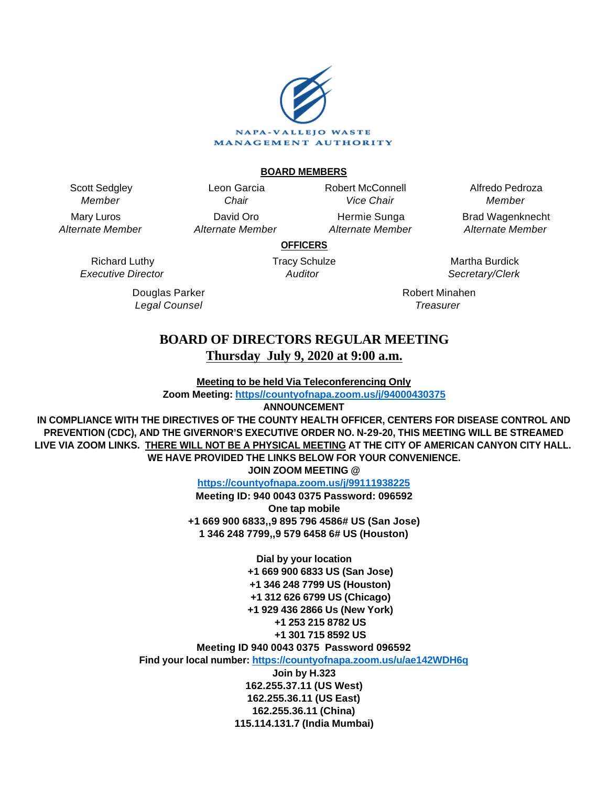

#### **BOARD MEMBERS**

Scott Sedgley Member

Mary Luros Alternate Member

> Richard Luthy Executive Director

> > Douglas Parker Legal Counsel

Leon Garcia **Chair** David Oro Alternate Member Robert McConnell Vice Chair

Hermie Sunga Alternate Member

Alfredo Pedroza Member Brad Wagenknecht

Alternate Member

**OFFICERS**

Tracy Schulze **Auditor** 

Martha Burdick Secretary/Clerk

Robert Minahen **Treasurer** 

# **BOARD OF DIRECTORS REGULAR MEETING Thursday July 9, 2020 at 9:00 a.m.**

**Meeting to be held Via Teleconferencing Only**

**Zoom Meeting: [https//countyofnapa.zoom.us/j/94000430375](http://intranetprod01/AgendaNet/Reports/https//countyofnapa.zoom.us/j/99111938225)**

**ANNOUNCEMENT**

**IN COMPLIANCE WITH THE DIRECTIVES OF THE COUNTY HEALTH OFFICER, CENTERS FOR DISEASE CONTROL AND PREVENTION (CDC), AND THE GIVERNOR'S EXECUTIVE ORDER NO. N-29-20, THIS MEETING WILL BE STREAMED LIVE VIA ZOOM LINKS. THERE WILL NOT BE A PHYSICAL MEETING AT THE CITY OF AMERICAN CANYON CITY HALL. WE HAVE PROVIDED THE LINKS BELOW FOR YOUR CONVENIENCE.**

**JOIN ZOOM MEETING @**

**<https://countyofnapa.zoom.us/j/99111938225>**

**Meeting ID: 940 0043 0375 Password: 096592 One tap mobile +1 669 900 6833,,9 895 796 4586# US (San Jose) 1 346 248 7799,,9 579 6458 6# US (Houston)**

**Dial by your location +1 669 900 6833 US (San Jose) +1 346 248 7799 US (Houston) +1 312 626 6799 US (Chicago) +1 929 436 2866 Us (New York) +1 253 215 8782 US +1 301 715 8592 US Meeting ID 940 0043 0375 Password 096592**

**Find your local number:<https://countyofnapa.zoom.us/u/ae142WDH6q>**

**Join by H.323 162.255.37.11 (US West) 162.255.36.11 (US East) 162.255.36.11 (China) 115.114.131.7 (India Mumbai)**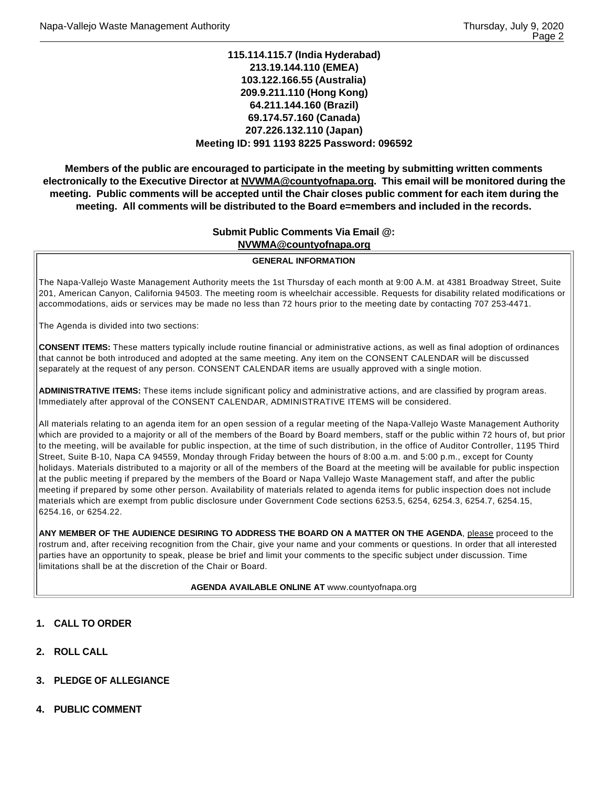## **115.114.115.7 (India Hyderabad) 213.19.144.110 (EMEA) 103.122.166.55 (Australia) 209.9.211.110 (Hong Kong) 64.211.144.160 (Brazil) 69.174.57.160 (Canada) 207.226.132.110 (Japan) Meeting ID: 991 1193 8225 Password: 096592**

**Members of the public are encouraged to participate in the meeting by submitting written comments electronically to the Executive Director at NVWMA@countyofnapa.org. This email will be monitored during the meeting. Public comments will be accepted until the Chair closes public comment for each item during the meeting. All comments will be distributed to the Board e=members and included in the records.**

## **Submit Public Comments Via Email @: NVWMA@countyofnapa.org**

#### **GENERAL INFORMATION**

The Napa-Vallejo Waste Management Authority meets the 1st Thursday of each month at 9:00 A.M. at 4381 Broadway Street, Suite 201, American Canyon, California 94503. The meeting room is wheelchair accessible. Requests for disability related modifications or accommodations, aids or services may be made no less than 72 hours prior to the meeting date by contacting 707 253-4471.

The Agenda is divided into two sections:

**CONSENT ITEMS:** These matters typically include routine financial or administrative actions, as well as final adoption of ordinances that cannot be both introduced and adopted at the same meeting. Any item on the CONSENT CALENDAR will be discussed separately at the request of any person. CONSENT CALENDAR items are usually approved with a single motion.

**ADMINISTRATIVE ITEMS:** These items include significant policy and administrative actions, and are classified by program areas. Immediately after approval of the CONSENT CALENDAR, ADMINISTRATIVE ITEMS will be considered.

All materials relating to an agenda item for an open session of a regular meeting of the Napa-Vallejo Waste Management Authority which are provided to a majority or all of the members of the Board by Board members, staff or the public within 72 hours of, but prior to the meeting, will be available for public inspection, at the time of such distribution, in the office of Auditor Controller, 1195 Third Street, Suite B-10, Napa CA 94559, Monday through Friday between the hours of 8:00 a.m. and 5:00 p.m., except for County holidays. Materials distributed to a majority or all of the members of the Board at the meeting will be available for public inspection at the public meeting if prepared by the members of the Board or Napa Vallejo Waste Management staff, and after the public meeting if prepared by some other person. Availability of materials related to agenda items for public inspection does not include materials which are exempt from public disclosure under Government Code sections 6253.5, 6254, 6254.3, 6254.7, 6254.15, 6254.16, or 6254.22.

**ANY MEMBER OF THE AUDIENCE DESIRING TO ADDRESS THE BOARD ON A MATTER ON THE AGENDA**, please proceed to the rostrum and, after receiving recognition from the Chair, give your name and your comments or questions. In order that all interested parties have an opportunity to speak, please be brief and limit your comments to the specific subject under discussion. Time limitations shall be at the discretion of the Chair or Board.

**AGENDA AVAILABLE ONLINE AT** www.countyofnapa.org

- **1. CALL TO ORDER**
- **2. ROLL CALL**
- **3. PLEDGE OF ALLEGIANCE**
- **4. PUBLIC COMMENT**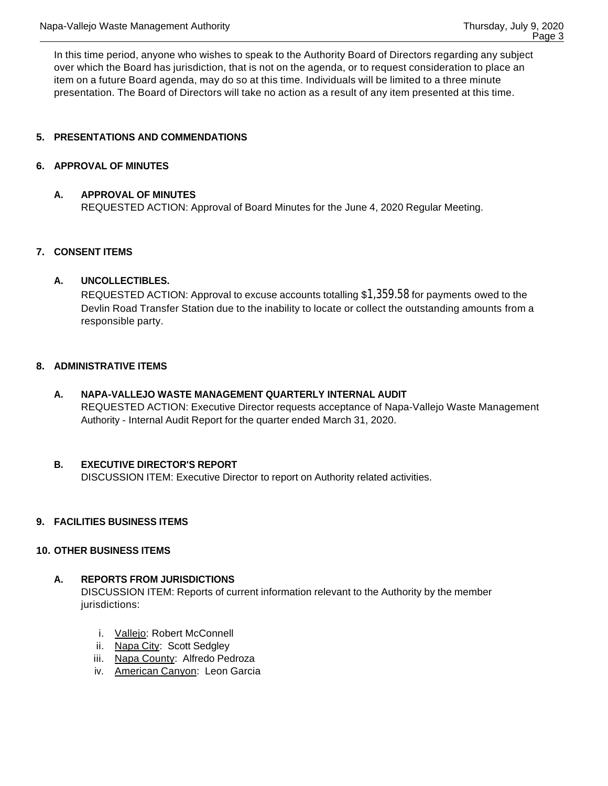In this time period, anyone who wishes to speak to the Authority Board of Directors regarding any subject over which the Board has jurisdiction, that is not on the agenda, or to request consideration to place an item on a future Board agenda, may do so at this time. Individuals will be limited to a three minute presentation. The Board of Directors will take no action as a result of any item presented at this time.

# **5. PRESENTATIONS AND COMMENDATIONS**

## **6. APPROVAL OF MINUTES**

## **A. APPROVAL OF MINUTES**

REQUESTED ACTION: Approval of Board Minutes for the June 4, 2020 Regular Meeting.

#### **7. CONSENT ITEMS**

#### **A. UNCOLLECTIBLES.**

REQUESTED ACTION: Approval to excuse accounts totalling \$1,359.58 for payments owed to the Devlin Road Transfer Station due to the inability to locate or collect the outstanding amounts from a responsible party.

## **8. ADMINISTRATIVE ITEMS**

**A. NAPA-VALLEJO WASTE MANAGEMENT QUARTERLY INTERNAL AUDIT** REQUESTED ACTION: Executive Director requests acceptance of Napa-Vallejo Waste Management Authority - Internal Audit Report for the quarter ended March 31, 2020.

## **B. EXECUTIVE DIRECTOR'S REPORT**

DISCUSSION ITEM: Executive Director to report on Authority related activities.

## **9. FACILITIES BUSINESS ITEMS**

## **10. OTHER BUSINESS ITEMS**

# **A. REPORTS FROM JURISDICTIONS**

DISCUSSION ITEM: Reports of current information relevant to the Authority by the member jurisdictions:

- i. Vallejo: Robert McConnell
- ii. Napa City: Scott Sedgley
- iii. Napa County: Alfredo Pedroza
- iv. American Canyon: Leon Garcia